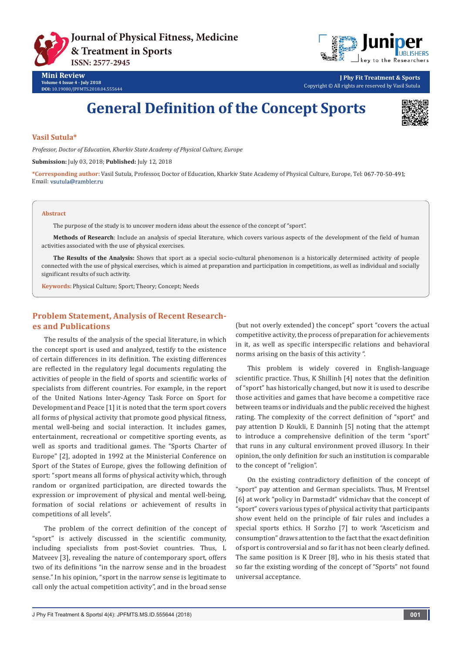



**Mini Review Volume 4 Issue 4 - July 2018 DOI:** [10.19080/JPFMTS.2018.04.555644](http://dx.doi.org/10.19080/jpfmts.2018.04.555644)

**J Phy Fit Treatment & Sports** Copyright © All rights are reserved by Vasil Sutula

# **General Definition of the Concept Sports**



## **Vasil Sutula\***

*Professor, Doctor of Education, Kharkiv State Academy of Physical Culture, Europe*

**Submission:** July 03, 2018; **Published:** July 12, 2018

**\*Corresponding author:** Vasil Sutula, Professor, Doctor of Education, Kharkiv State Academy of Physical Culture, Europe, Tel: ; Email: vsutula@rambler.ru

#### **Abstract**

The purpose of the study is to uncover modern ideas about the essence of the concept of "sport".

**Methods of Research**: Include an analysis of special literature, which covers various aspects of the development of the field of human activities associated with the use of physical exercises.

**The Results of the Analysis:** Shows that sport as a special socio-cultural phenomenon is a historically determined activity of people connected with the use of physical exercises, which is aimed at preparation and participation in competitions, as well as individual and socially significant results of such activity.

**Keywords:** Physical Culture; Sport; Theory; Concept; Needs

# **Problem Statement, Analysis of Recent Researches and Publications**

The results of the analysis of the special literature, in which the concept sport is used and analyzed, testify to the existence of certain differences in its definition. The existing differences are reflected in the regulatory legal documents regulating the activities of people in the field of sports and scientific works of specialists from different countries. For example, in the report of the United Nations Inter-Agency Task Force on Sport for Development and Peace [1] it is noted that the term sport covers all forms of physical activity that promote good physical fitness, mental well-being and social interaction. It includes games, entertainment, recreational or competitive sporting events, as well as sports and traditional games. The "Sports Charter of Europe" [2], adopted in 1992 at the Ministerial Conference on Sport of the States of Europe, gives the following definition of sport: "sport means all forms of physical activity which, through random or organized participation, are directed towards the expression or improvement of physical and mental well-being, formation of social relations or achievement of results in competitions of all levels".

The problem of the correct definition of the concept of "sport" is actively discussed in the scientific community, including specialists from post-Soviet countries. Thus, L Matveev [3], revealing the nature of contemporary sport, offers two of its definitions "in the narrow sense and in the broadest sense." In his opinion, "sport in the narrow sense is legitimate to call only the actual competition activity", and in the broad sense

(but not overly extended) the concept" sport "covers the actual competitive activity, the process of preparation for achievements in it, as well as specific interspecific relations and behavioral norms arising on the basis of this activity ".

This problem is widely covered in English-language scientific practice. Thus, K Shillinh [4] notes that the definition of "sport" has historically changed, but now it is used to describe those activities and games that have become a competitive race between teams or individuals and the public received the highest rating. The complexity of the correct definition of "sport" and pay attention D Koukli, E Danninh [5] noting that the attempt to introduce a comprehensive definition of the term "sport" that runs in any cultural environment proved illusory. In their opinion, the only definition for such an institution is comparable to the concept of "religion".

On the existing contradictory definition of the concept of "sport" pay attention and German specialists. Thus, M Frentsel [6] at work "policy in Darmstadt" vidmichav that the concept of "sport" covers various types of physical activity that participants show event held on the principle of fair rules and includes a special sports ethics. H Sorzho [7] to work "Asceticism and consumption" draws attention to the fact that the exact definition of sport is controversial and so far it has not been clearly defined. The same position is K Dreer [8], who in his thesis stated that so far the existing wording of the concept of "Sports" not found universal acceptance.